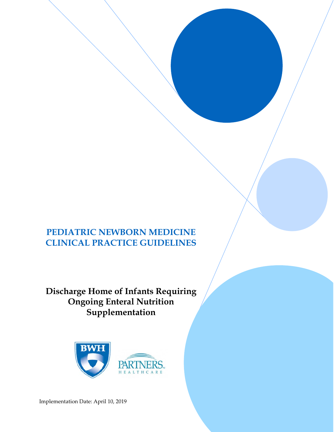# **PEDIATRIC NEWBORN MEDICINE CLINICAL PRACTICE GUIDELINES**

**Discharge Home of Infants Requiring Ongoing Enteral Nutrition Supplementation**



Implementation Date: April 10, 2019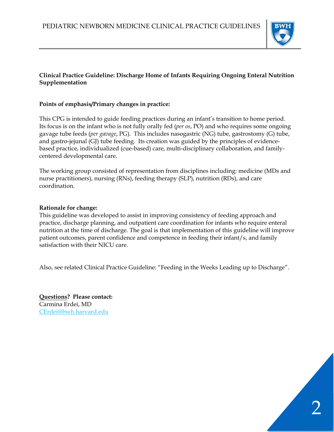

## **Clinical Practice Guideline: Discharge Home of Infants Requiring Ongoing Enteral Nutrition Supplementation**

#### **Points of emphasis/Primary changes in practice:**

This CPG is intended to guide feeding practices during an infant's transition to home period. Its focus is on the infant who is not fully orally fed (*per os*, PO) and who requires some ongoing gavage tube feeds (*per gavage*, PG). This includes nasogastric (NG) tube, gastrostomy (G) tube, and gastro-jejunal (GJ) tube feeding. Its creation was guided by the principles of evidencebased practice, individualized (cue-based) care, multi-disciplinary collaboration, and familycentered developmental care.

The working group consisted of representation from disciplines including: medicine (MDs and nurse practitioners), nursing (RNs), feeding therapy (SLP), nutrition (RDs), and care coordination.

#### **Rationale for change:**

This guideline was developed to assist in improving consistency of feeding approach and practice, discharge planning, and outpatient care coordination for infants who require enteral nutrition at the time of discharge. The goal is that implementation of this guideline will improve patient outcomes, parent confidence and competence in feeding their infant/s, and family satisfaction with their NICU care.

Also, see related Clinical Practice Guideline: "Feeding in the Weeks Leading up to Discharge".

**Questions? Please contact:**  Carmina Erdei, MD CErdei@bwh.harvard.edu

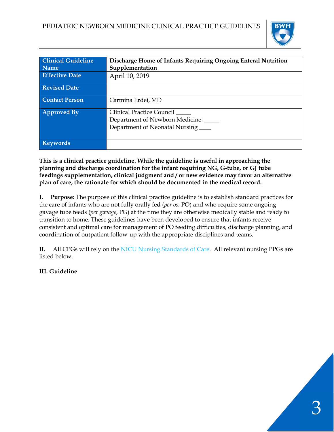

| <b>Clinical Guideline</b> | Discharge Home of Infants Requiring Ongoing Enteral Nutrition                                        |
|---------------------------|------------------------------------------------------------------------------------------------------|
| <b>Name</b>               | Supplementation                                                                                      |
| <b>Effective Date</b>     | April 10, 2019                                                                                       |
| <b>Revised Date</b>       |                                                                                                      |
| <b>Contact Person</b>     | Carmina Erdei, MD                                                                                    |
| <b>Approved By</b>        | <b>Clinical Practice Council</b><br>Department of Newborn Medicine<br>Department of Neonatal Nursing |
| <b>Keywords</b>           |                                                                                                      |

**This is a clinical practice guideline. While the guideline is useful in approaching the planning and discharge coordination for the infant requiring NG, G-tube, or GJ tube feedings supplementation, clinical judgment and / or new evidence may favor an alternative plan of care, the rationale for which should be documented in the medical record.** 

**I. Purpose:** The purpose of this clinical practice guideline is to establish standard practices for the care of infants who are not fully orally fed (*per os*, PO) and who require some ongoing gavage tube feeds (*per gavage*, PG) at the time they are otherwise medically stable and ready to transition to home. These guidelines have been developed to ensure that infants receive consistent and optimal care for management of PO feeding difficulties, discharge planning, and coordination of outpatient follow-up with the appropriate disciplines and teams.

**II.** All CPGs will rely on the NICU Nursing Standards of Care. All relevant nursing PPGs are listed below.

# **III. Guideline**

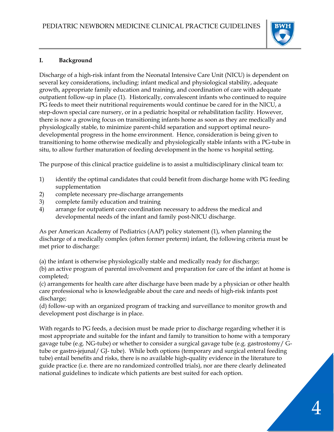

# **I. Background**

Discharge of a high-risk infant from the Neonatal Intensive Care Unit (NICU) is dependent on several key considerations, including: infant medical and physiological stability, adequate growth, appropriate family education and training, and coordination of care with adequate outpatient follow-up in place (1). Historically, convalescent infants who continued to require PG feeds to meet their nutritional requirements would continue be cared for in the NICU, a step-down special care nursery, or in a pediatric hospital or rehabilitation facility. However, there is now a growing focus on transitioning infants home as soon as they are medically and physiologically stable, to minimize parent-child separation and support optimal neurodevelopmental progress in the home environment. Hence, consideration is being given to transitioning to home otherwise medically and physiologically stable infants with a PG-tube in situ, to allow further maturation of feeding development in the home vs hospital setting.

The purpose of this clinical practice guideline is to assist a multidisciplinary clinical team to:

- 1) identify the optimal candidates that could benefit from discharge home with PG feeding supplementation
- 2) complete necessary pre-discharge arrangements
- 3) complete family education and training
- 4) arrange for outpatient care coordination necessary to address the medical and developmental needs of the infant and family post-NICU discharge.

As per American Academy of Pediatrics (AAP) policy statement (1), when planning the discharge of a medically complex (often former preterm) infant, the following criteria must be met prior to discharge:

(a) the infant is otherwise physiologically stable and medically ready for discharge;

(b) an active program of parental involvement and preparation for care of the infant at home is completed;

(c) arrangements for health care after discharge have been made by a physician or other health care professional who is knowledgeable about the care and needs of high-risk infants post discharge;

(d) follow-up with an organized program of tracking and surveillance to monitor growth and development post discharge is in place.

With regards to PG feeds, a decision must be made prior to discharge regarding whether it is most appropriate and suitable for the infant and family to transition to home with a temporary gavage tube (e.g. NG-tube) or whether to consider a surgical gavage tube (e.g. gastrostomy/ Gtube or gastro-jejunal/ GJ- tube). While both options (temporary and surgical enteral feeding tube) entail benefits and risks, there is no available high-quality evidence in the literature to guide practice (i.e. there are no randomized controlled trials), nor are there clearly delineated national guidelines to indicate which patients are best suited for each option.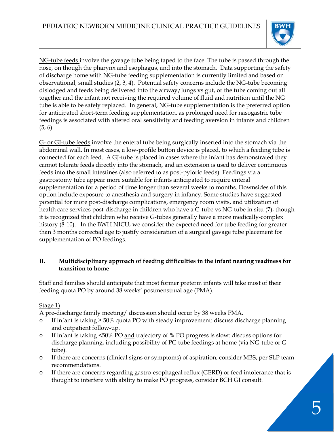

NG-tube feeds involve the gavage tube being taped to the face. The tube is passed through the nose, on though the pharynx and esophagus, and into the stomach. Data supporting the safety of discharge home with NG-tube feeding supplementation is currently limited and based on observational, small studies (2, 3, 4). Potential safety concerns include the NG-tube becoming dislodged and feeds being delivered into the airway/lungs vs gut, or the tube coming out all together and the infant not receiving the required volume of fluid and nutrition until the NG tube is able to be safely replaced. In general, NG-tube supplementation is the preferred option for anticipated short-term feeding supplementation, as prolonged need for nasogastric tube feedings is associated with altered oral sensitivity and feeding aversion in infants and children  $(5, 6)$ .

G- or GJ-tube feeds involve the enteral tube being surgically inserted into the stomach via the abdominal wall. In most cases, a low-profile button device is placed, to which a feeding tube is connected for each feed. A GJ-tube is placed in cases where the infant has demonstrated they cannot tolerate feeds directly into the stomach, and an extension is used to deliver continuous feeds into the small intestines (also referred to as post-pyloric feeds). Feedings via a gastrostomy tube appear more suitable for infants anticipated to require enteral supplementation for a period of time longer than several weeks to months. Downsides of this option include exposure to anesthesia and surgery in infancy. Some studies have suggested potential for more post-discharge complications, emergency room visits, and utilization of health care services post-discharge in children who have a G-tube vs NG-tube in situ (7), though it is recognized that children who receive G-tubes generally have a more medically-complex history (8-10). In the BWH NICU, we consider the expected need for tube feeding for greater than 3 months corrected age to justify consideration of a surgical gavage tube placement for supplementation of PO feedings.

## **II. Multidisciplinary approach of feeding difficulties in the infant nearing readiness for transition to home**

Staff and families should anticipate that most former preterm infants will take most of their feeding quota PO by around 38 weeks' postmenstrual age (PMA).

# Stage 1)

A pre-discharge family meeting/ discussion should occur by 38 weeks PMA.

- o If infant is taking ≥ 50% quota PO with steady improvement: discuss discharge planning and outpatient follow-up.
- o If infant is taking <50% PO and trajectory of % PO progress is slow: discuss options for discharge planning, including possibility of PG tube feedings at home (via NG-tube or Gtube).
- o If there are concerns (clinical signs or symptoms) of aspiration, consider MBS, per SLP team recommendations.
- o If there are concerns regarding gastro-esophageal reflux (GERD) or feed intolerance that is thought to interfere with ability to make PO progress, consider BCH GI consult.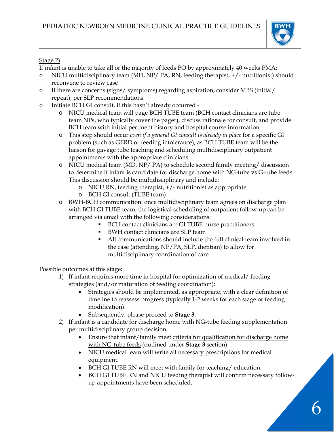

## Stage 2)

If infant is unable to take all or the majority of feeds PO by approximately 40 weeks PMA:

- NICU multidisciplinary team (MD, NP/ PA, RN, feeding therapist,  $+/-$  nutritionist) should reconvene to review case
- o If there are concerns (signs/ symptoms) regarding aspiration, consider MBS (initial/ repeat), per SLP recommendations
- o Initiate BCH GI consult, if this hasn't already occurred
	- o NICU medical team will page BCH TUBE team (BCH contact clinicians are tube team NPs, who typically cover the pager), discuss rationale for consult, and provide BCH team with initial pertinent history and hospital course information.
	- o This step should occur *even if a general GI consult is already in place* for a specific GI problem (such as GERD or feeding intolerance), as BCH TUBE team will be the liaison for gavage tube teaching and scheduling multidisciplinary outpatient appointments with the appropriate clinicians.
	- o NICU medical team (MD, NP/ PA) to schedule second family meeting/ discussion to determine if infant is candidate for discharge home with NG-tube vs G-tube feeds. This discussion should be multidisciplinary and include:
		- o NICU RN, feeding therapist, +/- nutritionist as appropriate
		- o BCH GI consult (TUBE team)
	- o BWH-BCH communication: once multidisciplinary team agrees on discharge plan with BCH GI TUBE team, the logistical scheduling of outpatient follow-up can be arranged via email with the following considerations:
		- BCH contact clinicians are GI TUBE nurse practitioners
		- BWH contact clinicians are SLP team
		- All communications should include the full clinical team involved in the case (attending, NP/PA, SLP, dietitian) to allow for multidisciplinary coordination of care

Possible outcomes at this stage:

- 1) If infant requires more time in hospital for optimization of medical/ feeding strategies (and/or maturation of feeding coordination):
	- Strategies should be implemented, as appropriate, with a clear definition of timeline to reassess progress (typically 1-2 weeks for each stage or feeding modification).
	- Subsequently, please proceed to **Stage 3**.
- 2) If infant is a candidate for discharge home with NG-tube feeding supplementation per multidisciplinary group decision:
	- Ensure that infant/family meet criteria for qualification for discharge home with NG-tube feeds (outlined under **Stage 3** section)
	- NICU medical team will write all necessary prescriptions for medical equipment.
	- BCH GI TUBE RN will meet with family for teaching/ education.
	- BCH GI TUBE RN and NICU feeding therapist will confirm necessary followup appointments have been scheduled.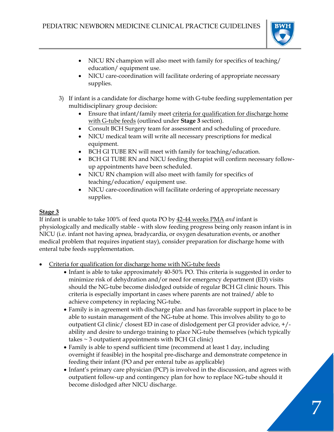

7

- NICU RN champion will also meet with family for specifics of teaching/ education/ equipment use.
- NICU care-coordination will facilitate ordering of appropriate necessary supplies.
- 3) If infant is a candidate for discharge home with G-tube feeding supplementation per multidisciplinary group decision:
	- Ensure that infant/family meet criteria for qualification for discharge home with G-tube feeds (outlined under **Stage 3** section).
	- Consult BCH Surgery team for assessment and scheduling of procedure.
	- NICU medical team will write all necessary prescriptions for medical equipment.
	- BCH GI TUBE RN will meet with family for teaching/education.
	- BCH GI TUBE RN and NICU feeding therapist will confirm necessary followup appointments have been scheduled.
	- NICU RN champion will also meet with family for specifics of teaching/education/ equipment use.
	- NICU care-coordination will facilitate ordering of appropriate necessary supplies.

# **Stage 3**

If infant is unable to take 100% of feed quota PO by 42-44 weeks PMA *and* infant is physiologically and medically stable - with slow feeding progress being only reason infant is in NICU (i.e. infant not having apnea, bradycardia, or oxygen desaturation events, or another medical problem that requires inpatient stay), consider preparation for discharge home with enteral tube feeds supplementation.

- Criteria for qualification for discharge home with NG-tube feeds
	- Infant is able to take approximately 40-50% PO. This criteria is suggested in order to minimize risk of dehydration and/or need for emergency department (ED) visits should the NG-tube become dislodged outside of regular BCH GI clinic hours. This criteria is especially important in cases where parents are not trained/ able to achieve competency in replacing NG-tube.
	- Family is in agreement with discharge plan and has favorable support in place to be able to sustain management of the NG-tube at home. This involves ability to go to outpatient GI clinic/ closest ED in case of dislodgement per GI provider advice, +/ ability and desire to undergo training to place NG-tube themselves (which typically takes  $\sim$  3 outpatient appointments with BCH GI clinic)
	- Family is able to spend sufficient time (recommend at least 1 day, including overnight if feasible) in the hospital pre-discharge and demonstrate competence in feeding their infant (PO and per enteral tube as applicable)
	- Infant's primary care physician (PCP) is involved in the discussion, and agrees with outpatient follow-up and contingency plan for how to replace NG-tube should it become dislodged after NICU discharge.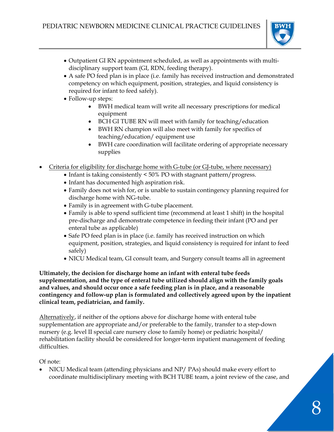

- Outpatient GI RN appointment scheduled, as well as appointments with multidisciplinary support team (GI, RDN, feeding therapy).
- A safe PO feed plan is in place (i.e. family has received instruction and demonstrated competency on which equipment, position, strategies, and liquid consistency is required for infant to feed safely).
- Follow-up steps:
	- BWH medical team will write all necessary prescriptions for medical equipment
	- BCH GI TUBE RN will meet with family for teaching/education
	- BWH RN champion will also meet with family for specifics of teaching/education/ equipment use
	- BWH care coordination will facilitate ordering of appropriate necessary supplies
- Criteria for eligibility for discharge home with G-tube (or GJ-tube, where necessary)
	- $\bullet$  Infant is taking consistently < 50% PO with stagnant pattern/progress.
	- Infant has documented high aspiration risk.
	- Family does not wish for, or is unable to sustain contingency planning required for discharge home with NG-tube.
	- Family is in agreement with G-tube placement.
	- Family is able to spend sufficient time (recommend at least 1 shift) in the hospital pre-discharge and demonstrate competence in feeding their infant (PO and per enteral tube as applicable)
	- Safe PO feed plan is in place (i.e. family has received instruction on which equipment, position, strategies, and liquid consistency is required for infant to feed safely)
	- NICU Medical team, GI consult team, and Surgery consult teams all in agreement

**Ultimately, the decision for discharge home an infant with enteral tube feeds supplementation, and the type of enteral tube utilized should align with the family goals and values, and should occur once a safe feeding plan is in place, and a reasonable contingency and follow-up plan is formulated and collectively agreed upon by the inpatient clinical team, pediatrician, and family.** 

Alternatively, if neither of the options above for discharge home with enteral tube supplementation are appropriate and/or preferable to the family, transfer to a step-down nursery (e.g. level II special care nursery close to family home) or pediatric hospital/ rehabilitation facility should be considered for longer-term inpatient management of feeding difficulties.

Of note:

 NICU Medical team (attending physicians and NP/ PAs) should make every effort to coordinate multidisciplinary meeting with BCH TUBE team, a joint review of the case, and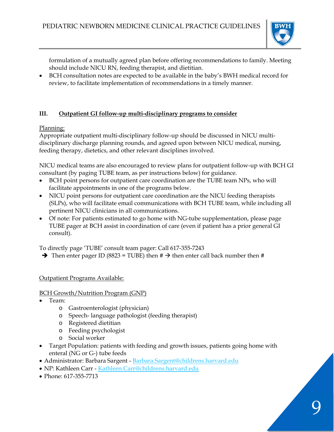

formulation of a mutually agreed plan before offering recommendations to family. Meeting should include NICU RN, feeding therapist, and dietitian.

 BCH consultation notes are expected to be available in the baby's BWH medical record for review, to facilitate implementation of recommendations in a timely manner.

## **III. Outpatient GI follow-up multi-disciplinary programs to consider**

Planning:

Appropriate outpatient multi-disciplinary follow-up should be discussed in NICU multidisciplinary discharge planning rounds, and agreed upon between NICU medical, nursing, feeding therapy, dietetics, and other relevant disciplines involved.

NICU medical teams are also encouraged to review plans for outpatient follow-up with BCH GI consultant (by paging TUBE team, as per instructions below) for guidance.

- BCH point persons for outpatient care coordination are the TUBE team NPs, who will facilitate appointments in one of the programs below.
- NICU point persons for outpatient care coordination are the NICU feeding therapists (SLPs), who will facilitate email communications with BCH TUBE team, while including all pertinent NICU clinicians in all communications.
- Of note: For patients estimated to go home with NG-tube supplementation, please page TUBE pager at BCH assist in coordination of care (even if patient has a prior general GI consult).

To directly page 'TUBE' consult team pager: Call 617-355-7243

 $\rightarrow$  Then enter pager ID (8823 = TUBE) then #  $\rightarrow$  then enter call back number then #

Outpatient Programs Available:

#### BCH Growth/Nutrition Program (GNP)

- Team:
	- o Gastroenterologist (physician)
	- o Speech- language pathologist (feeding therapist)
	- o Registered dietitian
	- o Feeding psychologist
	- o Social worker
- Target Population: patients with feeding and growth issues, patients going home with enteral (NG or G-) tube feeds
- Administrator: Barbara Sargent Barbara.Sargent@childrens.harvard.edu
- NP: Kathleen Carr Kathleen.Carr@childrens.harvard.edu
- Phone: 617-355-7713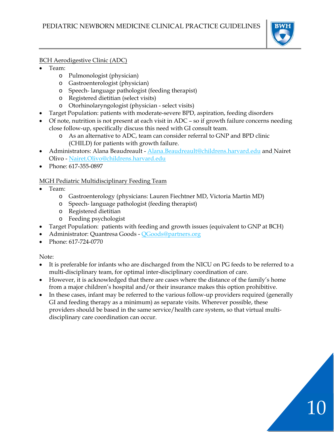

## BCH Aerodigestive Clinic (ADC)

- Team:
	- o Pulmonologist (physician)
	- o Gastroenterologist (physician)
	- o Speech- language pathologist (feeding therapist)
	- o Registered dietitian (select visits)
	- o Otorhinolaryngologist (physician select visits)
- Target Population: patients with moderate-severe BPD, aspiration, feeding disorders
- Of note, nutrition is not present at each visit in ADC so if growth failure concerns needing close follow-up, specifically discuss this need with GI consult team.
	- o As an alternative to ADC, team can consider referral to GNP and BPD clinic (CHILD) for patients with growth failure.
- Administrators: Alana Beaudreault Alana. Beaudreault@childrens. harvard. edu and Nairet Olivo - Nairet.Olivo@childrens.harvard.edu
- Phone: 617-355-0897

# MGH Pediatric Multidisciplinary Feeding Team

- Team:
	- o Gastroenterology (physicians: Lauren Fiechtner MD, Victoria Martin MD)
	- o Speech- language pathologist (feeding therapist)
	- o Registered dietitian
	- o Feeding psychologist
- Target Population: patients with feeding and growth issues (equivalent to GNP at BCH)
- Administrator: Quantresa Goods QGoods@partners.org
- Phone: 617-724-0770

Note:

- It is preferable for infants who are discharged from the NICU on PG feeds to be referred to a multi-disciplinary team, for optimal inter-disciplinary coordination of care.
- However, it is acknowledged that there are cases where the distance of the family's home from a major children's hospital and/or their insurance makes this option prohibitive.
- In these cases, infant may be referred to the various follow-up providers required (generally GI and feeding therapy as a minimum) as separate visits. Wherever possible, these providers should be based in the same service/health care system, so that virtual multidisciplinary care coordination can occur.